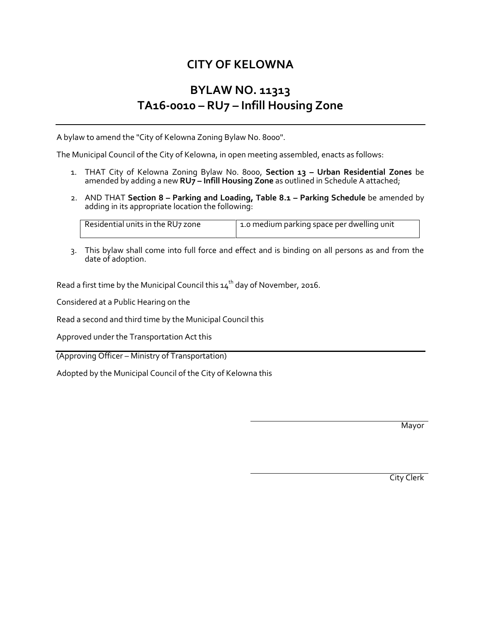# **CITY OF KELOWNA**

# **BYLAW NO. 11313 TA16-0010 – RU7 – Infill Housing Zone**

A bylaw to amend the "City of Kelowna Zoning Bylaw No. 8000".

The Municipal Council of the City of Kelowna, in open meeting assembled, enacts as follows:

- 1. THAT City of Kelowna Zoning Bylaw No. 8000, **Section 13 – Urban Residential Zones** be amended by adding a new **RU7 – Infill Housing Zone** as outlined in Schedule A attached;
- 2. AND THAT **Section 8 – Parking and Loading, Table 8.1 – Parking Schedule** be amended by adding in its appropriate location the following:

| Residential units in the RU7 zone | 1.0 medium parking space per dwelling unit |
|-----------------------------------|--------------------------------------------|
|                                   |                                            |

3. This bylaw shall come into full force and effect and is binding on all persons as and from the date of adoption.

Read a first time by the Municipal Council this  $14<sup>th</sup>$  day of November, 2016.

Considered at a Public Hearing on the

Read a second and third time by the Municipal Council this

Approved under the Transportation Act this

(Approving Officer – Ministry of Transportation)

Adopted by the Municipal Council of the City of Kelowna this

Mayor

City Clerk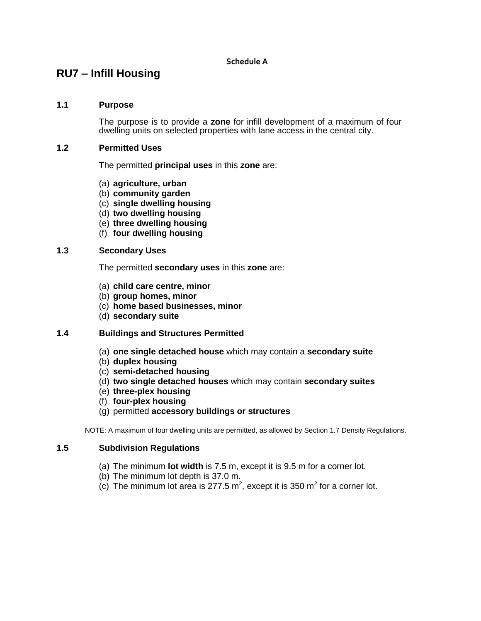# **RU7 – Infill Housing**

#### **1.1 Purpose**

The purpose is to provide a **zone** for infill development of a maximum of four dwelling units on selected properties with lane access in the central city.

#### **1.2 Permitted Uses**

The permitted **principal uses** in this **zone** are:

- (a) **agriculture, urban**
- (b) **community garden**
- (c) **single dwelling housing**
- (d) **two dwelling housing**
- (e) **three dwelling housing**
- (f) **four dwelling housing**

## **1.3 Secondary Uses**

The permitted **secondary uses** in this **zone** are:

- (a) **child care centre, minor**
- (b) **group homes, minor**
- (c) **home based businesses, minor**
- (d) **secondary suite**

## **1.4 Buildings and Structures Permitted**

- (a) **one single detached house** which may contain a **secondary suite**
- (b) **duplex housing**
- (c) **semi-detached housing**
- (d) **two single detached houses** which may contain **secondary suites**
- (e) **three-plex housing**
- (f) **four-plex housing**
- (g) permitted **accessory buildings or structures**

NOTE: A maximum of four dwelling units are permitted, as allowed by Section 1.7 Density Regulations.

#### **1.5 Subdivision Regulations**

- (a) The minimum **lot width** is 7.5 m, except it is 9.5 m for a corner lot.
- (b) The minimum lot depth is 37.0 m.
- (c) The minimum lot area is 277.5 m<sup>2</sup>, except it is 350 m<sup>2</sup> for a corner lot.